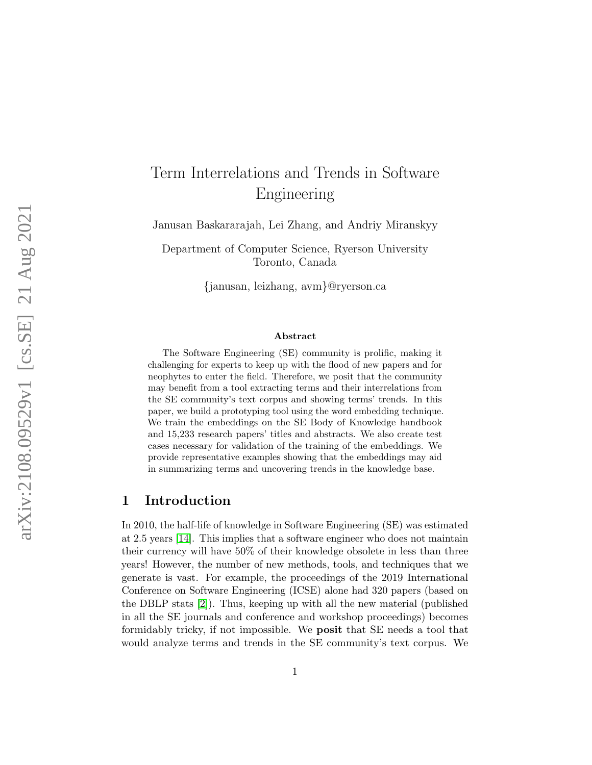# Term Interrelations and Trends in Software Engineering

Janusan Baskararajah, Lei Zhang, and Andriy Miranskyy

Department of Computer Science, Ryerson University Toronto, Canada

{janusan, leizhang, avm}@ryerson.ca

#### Abstract

The Software Engineering (SE) community is prolific, making it challenging for experts to keep up with the flood of new papers and for neophytes to enter the field. Therefore, we posit that the community may benefit from a tool extracting terms and their interrelations from the SE community's text corpus and showing terms' trends. In this paper, we build a prototyping tool using the word embedding technique. We train the embeddings on the SE Body of Knowledge handbook and 15,233 research papers' titles and abstracts. We also create test cases necessary for validation of the training of the embeddings. We provide representative examples showing that the embeddings may aid in summarizing terms and uncovering trends in the knowledge base.

# <span id="page-0-0"></span>1 Introduction

In 2010, the half-life of knowledge in Software Engineering (SE) was estimated at 2.5 years [\[14\]](#page-12-0). This implies that a software engineer who does not maintain their currency will have 50% of their knowledge obsolete in less than three years! However, the number of new methods, tools, and techniques that we generate is vast. For example, the proceedings of the 2019 International Conference on Software Engineering (ICSE) alone had 320 papers (based on the DBLP stats [\[2\]](#page-11-0)). Thus, keeping up with all the new material (published in all the SE journals and conference and workshop proceedings) becomes formidably tricky, if not impossible. We posit that SE needs a tool that would analyze terms and trends in the SE community's text corpus. We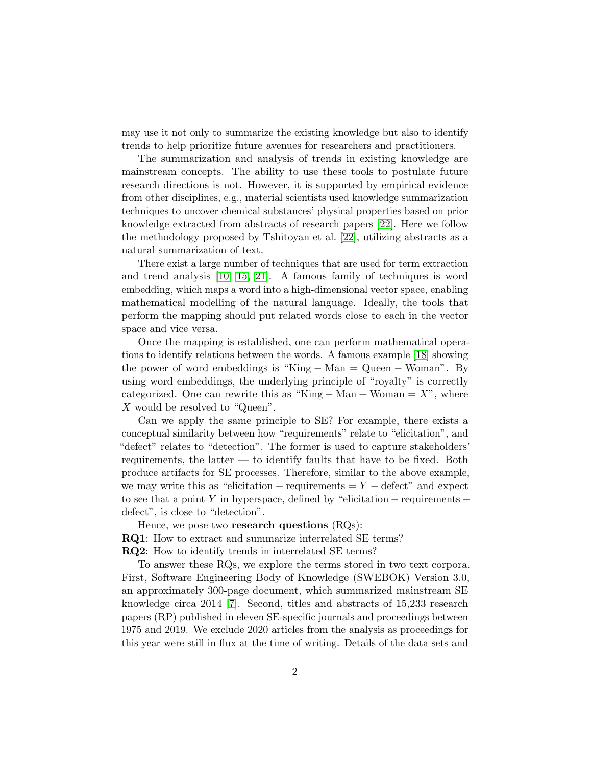may use it not only to summarize the existing knowledge but also to identify trends to help prioritize future avenues for researchers and practitioners.

The summarization and analysis of trends in existing knowledge are mainstream concepts. The ability to use these tools to postulate future research directions is not. However, it is supported by empirical evidence from other disciplines, e.g., material scientists used knowledge summarization techniques to uncover chemical substances' physical properties based on prior knowledge extracted from abstracts of research papers [\[22\]](#page-13-0). Here we follow the methodology proposed by Tshitoyan et al. [\[22\]](#page-13-0), utilizing abstracts as a natural summarization of text.

There exist a large number of techniques that are used for term extraction and trend analysis [\[10,](#page-11-1) [15,](#page-12-1) [21\]](#page-12-2). A famous family of techniques is word embedding, which maps a word into a high-dimensional vector space, enabling mathematical modelling of the natural language. Ideally, the tools that perform the mapping should put related words close to each in the vector space and vice versa.

Once the mapping is established, one can perform mathematical operations to identify relations between the words. A famous example [\[18\]](#page-12-3) showing the power of word embeddings is "King − Man = Queen − Woman". By using word embeddings, the underlying principle of "royalty" is correctly categorized. One can rewrite this as "King  $-Man + Woman = X"$ , where X would be resolved to "Queen".

Can we apply the same principle to SE? For example, there exists a conceptual similarity between how "requirements" relate to "elicitation", and "defect" relates to "detection". The former is used to capture stakeholders' requirements, the latter — to identify faults that have to be fixed. Both produce artifacts for SE processes. Therefore, similar to the above example, we may write this as "elicitation – requirements  $= Y - \text{defect}$ " and expect to see that a point Y in hyperspace, defined by "elicitation – requirements + defect", is close to "detection".

Hence, we pose two research questions (RQs): RQ1: How to extract and summarize interrelated SE terms? RQ2: How to identify trends in interrelated SE terms?

To answer these RQs, we explore the terms stored in two text corpora. First, Software Engineering Body of Knowledge (SWEBOK) Version 3.0, an approximately 300-page document, which summarized mainstream SE knowledge circa 2014 [\[7\]](#page-11-2). Second, titles and abstracts of 15,233 research papers (RP) published in eleven SE-specific journals and proceedings between 1975 and 2019. We exclude 2020 articles from the analysis as proceedings for this year were still in flux at the time of writing. Details of the data sets and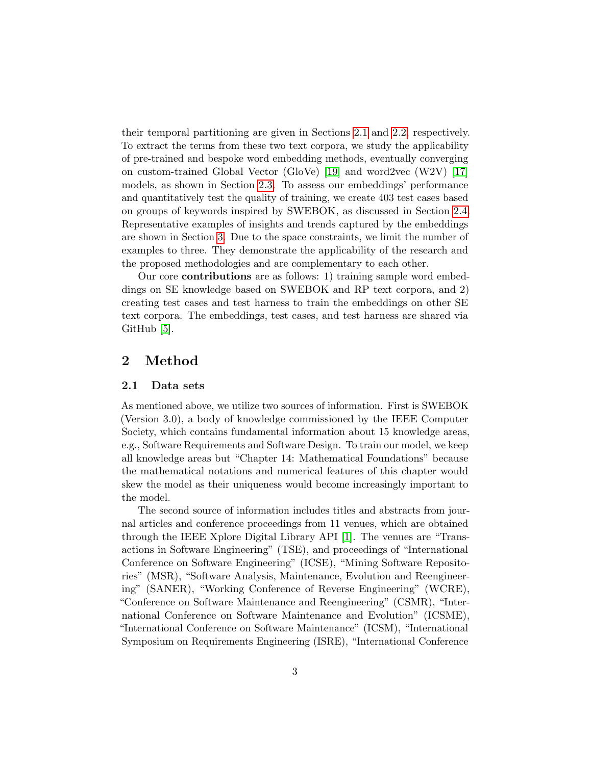their temporal partitioning are given in Sections [2.1](#page-2-0) and [2.2,](#page-3-0) respectively. To extract the terms from these two text corpora, we study the applicability of pre-trained and bespoke word embedding methods, eventually converging on custom-trained Global Vector (GloVe) [\[19\]](#page-12-4) and word2vec (W2V) [\[17\]](#page-12-5) models, as shown in Section [2.3.](#page-4-0) To assess our embeddings' performance and quantitatively test the quality of training, we create 403 test cases based on groups of keywords inspired by SWEBOK, as discussed in Section [2.4.](#page-5-0) Representative examples of insights and trends captured by the embeddings are shown in Section [3.](#page-6-0) Due to the space constraints, we limit the number of examples to three. They demonstrate the applicability of the research and the proposed methodologies and are complementary to each other.

Our core contributions are as follows: 1) training sample word embeddings on SE knowledge based on SWEBOK and RP text corpora, and 2) creating test cases and test harness to train the embeddings on other SE text corpora. The embeddings, test cases, and test harness are shared via GitHub [\[5\]](#page-11-3).

# 2 Method

## <span id="page-2-0"></span>2.1 Data sets

As mentioned above, we utilize two sources of information. First is SWEBOK (Version 3.0), a body of knowledge commissioned by the IEEE Computer Society, which contains fundamental information about 15 knowledge areas, e.g., Software Requirements and Software Design. To train our model, we keep all knowledge areas but "Chapter 14: Mathematical Foundations" because the mathematical notations and numerical features of this chapter would skew the model as their uniqueness would become increasingly important to the model.

The second source of information includes titles and abstracts from journal articles and conference proceedings from 11 venues, which are obtained through the IEEE Xplore Digital Library API [\[1\]](#page-10-0). The venues are "Transactions in Software Engineering" (TSE), and proceedings of "International Conference on Software Engineering" (ICSE), "Mining Software Repositories" (MSR), "Software Analysis, Maintenance, Evolution and Reengineering" (SANER), "Working Conference of Reverse Engineering" (WCRE), "Conference on Software Maintenance and Reengineering" (CSMR), "International Conference on Software Maintenance and Evolution" (ICSME), "International Conference on Software Maintenance" (ICSM), "International Symposium on Requirements Engineering (ISRE), "International Conference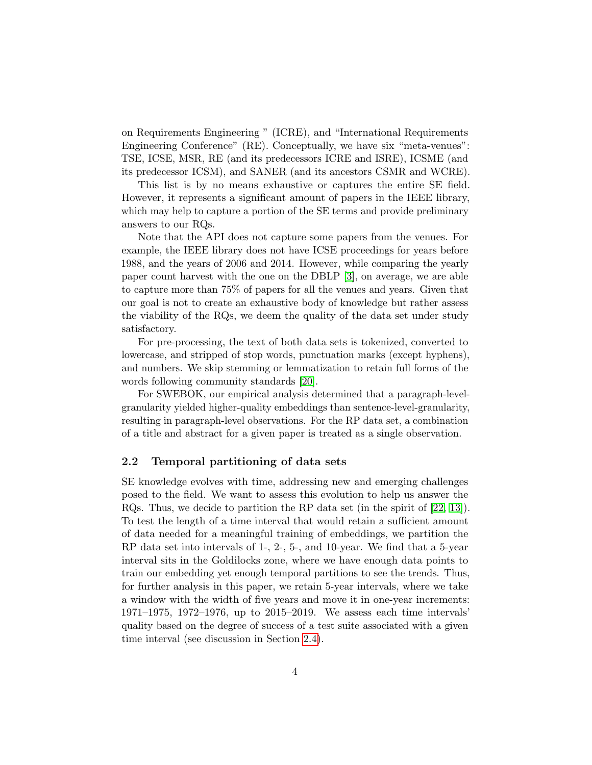on Requirements Engineering " (ICRE), and "International Requirements Engineering Conference" (RE). Conceptually, we have six "meta-venues": TSE, ICSE, MSR, RE (and its predecessors ICRE and ISRE), ICSME (and its predecessor ICSM), and SANER (and its ancestors CSMR and WCRE).

This list is by no means exhaustive or captures the entire SE field. However, it represents a significant amount of papers in the IEEE library, which may help to capture a portion of the SE terms and provide preliminary answers to our RQs.

Note that the API does not capture some papers from the venues. For example, the IEEE library does not have ICSE proceedings for years before 1988, and the years of 2006 and 2014. However, while comparing the yearly paper count harvest with the one on the DBLP [\[3\]](#page-11-4), on average, we are able to capture more than 75% of papers for all the venues and years. Given that our goal is not to create an exhaustive body of knowledge but rather assess the viability of the RQs, we deem the quality of the data set under study satisfactory.

For pre-processing, the text of both data sets is tokenized, converted to lowercase, and stripped of stop words, punctuation marks (except hyphens), and numbers. We skip stemming or lemmatization to retain full forms of the words following community standards [\[20\]](#page-12-6).

For SWEBOK, our empirical analysis determined that a paragraph-levelgranularity yielded higher-quality embeddings than sentence-level-granularity, resulting in paragraph-level observations. For the RP data set, a combination of a title and abstract for a given paper is treated as a single observation.

## <span id="page-3-0"></span>2.2 Temporal partitioning of data sets

SE knowledge evolves with time, addressing new and emerging challenges posed to the field. We want to assess this evolution to help us answer the RQs. Thus, we decide to partition the RP data set (in the spirit of [\[22,](#page-13-0) [13\]](#page-12-7)). To test the length of a time interval that would retain a sufficient amount of data needed for a meaningful training of embeddings, we partition the RP data set into intervals of 1-, 2-, 5-, and 10-year. We find that a 5-year interval sits in the Goldilocks zone, where we have enough data points to train our embedding yet enough temporal partitions to see the trends. Thus, for further analysis in this paper, we retain 5-year intervals, where we take a window with the width of five years and move it in one-year increments: 1971–1975, 1972–1976, up to 2015–2019. We assess each time intervals' quality based on the degree of success of a test suite associated with a given time interval (see discussion in Section [2.4\)](#page-5-0).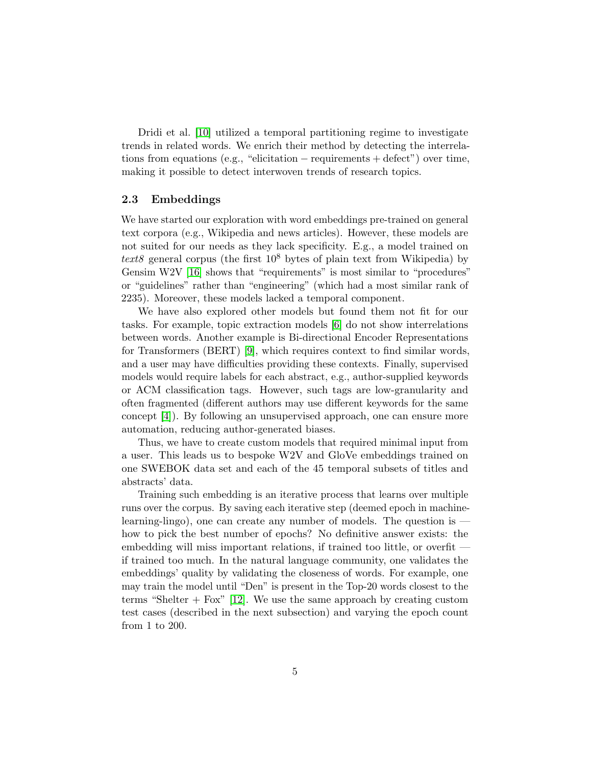Dridi et al. [\[10\]](#page-11-1) utilized a temporal partitioning regime to investigate trends in related words. We enrich their method by detecting the interrelations from equations (e.g., "elicitation − requirements + defect") over time, making it possible to detect interwoven trends of research topics.

## <span id="page-4-0"></span>2.3 Embeddings

We have started our exploration with word embeddings pre-trained on general text corpora (e.g., Wikipedia and news articles). However, these models are not suited for our needs as they lack specificity. E.g., a model trained on text8 general corpus (the first  $10^8$  bytes of plain text from Wikipedia) by Gensim W<sub>2</sub>V [\[16\]](#page-12-8) shows that "requirements" is most similar to "procedures" or "guidelines" rather than "engineering" (which had a most similar rank of 2235). Moreover, these models lacked a temporal component.

We have also explored other models but found them not fit for our tasks. For example, topic extraction models [\[6\]](#page-11-5) do not show interrelations between words. Another example is Bi-directional Encoder Representations for Transformers (BERT) [\[9\]](#page-11-6), which requires context to find similar words, and a user may have difficulties providing these contexts. Finally, supervised models would require labels for each abstract, e.g., author-supplied keywords or ACM classification tags. However, such tags are low-granularity and often fragmented (different authors may use different keywords for the same concept [\[4\]](#page-11-7)). By following an unsupervised approach, one can ensure more automation, reducing author-generated biases.

Thus, we have to create custom models that required minimal input from a user. This leads us to bespoke W2V and GloVe embeddings trained on one SWEBOK data set and each of the 45 temporal subsets of titles and abstracts' data.

Training such embedding is an iterative process that learns over multiple runs over the corpus. By saving each iterative step (deemed epoch in machinelearning-lingo), one can create any number of models. The question is how to pick the best number of epochs? No definitive answer exists: the embedding will miss important relations, if trained too little, or overfit if trained too much. In the natural language community, one validates the embeddings' quality by validating the closeness of words. For example, one may train the model until "Den" is present in the Top-20 words closest to the terms "Shelter  $+$  Fox" [\[12\]](#page-12-9). We use the same approach by creating custom test cases (described in the next subsection) and varying the epoch count from 1 to 200.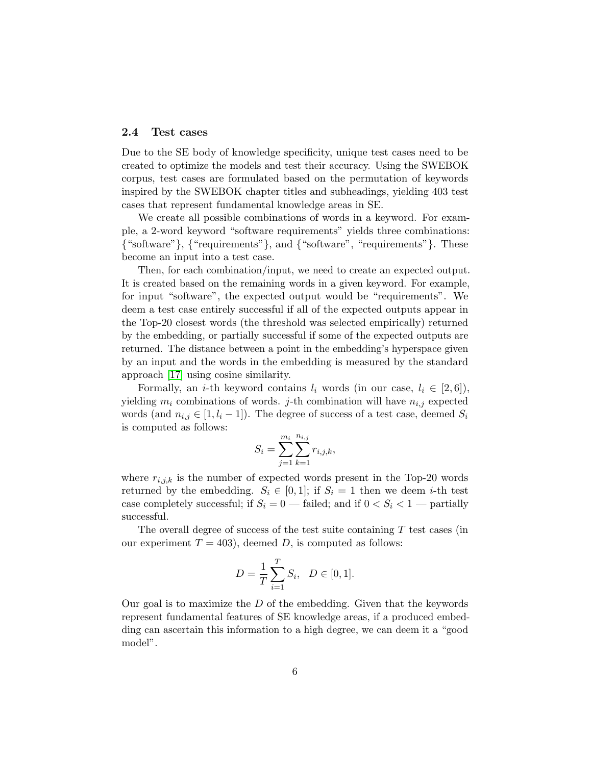## <span id="page-5-0"></span>2.4 Test cases

Due to the SE body of knowledge specificity, unique test cases need to be created to optimize the models and test their accuracy. Using the SWEBOK corpus, test cases are formulated based on the permutation of keywords inspired by the SWEBOK chapter titles and subheadings, yielding 403 test cases that represent fundamental knowledge areas in SE.

We create all possible combinations of words in a keyword. For example, a 2-word keyword "software requirements" yields three combinations: {"software"}, {"requirements"}, and {"software", "requirements"}. These become an input into a test case.

Then, for each combination/input, we need to create an expected output. It is created based on the remaining words in a given keyword. For example, for input "software", the expected output would be "requirements". We deem a test case entirely successful if all of the expected outputs appear in the Top-20 closest words (the threshold was selected empirically) returned by the embedding, or partially successful if some of the expected outputs are returned. The distance between a point in the embedding's hyperspace given by an input and the words in the embedding is measured by the standard approach [\[17\]](#page-12-5) using cosine similarity.

Formally, an *i*-th keyword contains  $l_i$  words (in our case,  $l_i \in [2, 6]$ ), yielding  $m_i$  combinations of words. j-th combination will have  $n_{i,j}$  expected words (and  $n_{i,j} \in [1, l_i - 1]$ ). The degree of success of a test case, deemed  $S_i$ is computed as follows:

$$
S_i = \sum_{j=1}^{m_i} \sum_{k=1}^{n_{i,j}} r_{i,j,k},
$$

where  $r_{i,j,k}$  is the number of expected words present in the Top-20 words returned by the embedding.  $S_i \in [0,1]$ ; if  $S_i = 1$  then we deem *i*-th test case completely successful; if  $S_i = 0$  — failed; and if  $0 < S_i < 1$  — partially successful.

The overall degree of success of the test suite containing  $T$  test cases (in our experiment  $T = 403$ , deemed D, is computed as follows:

$$
D = \frac{1}{T} \sum_{i=1}^{T} S_i, \quad D \in [0, 1].
$$

Our goal is to maximize the  $D$  of the embedding. Given that the keywords represent fundamental features of SE knowledge areas, if a produced embedding can ascertain this information to a high degree, we can deem it a "good model".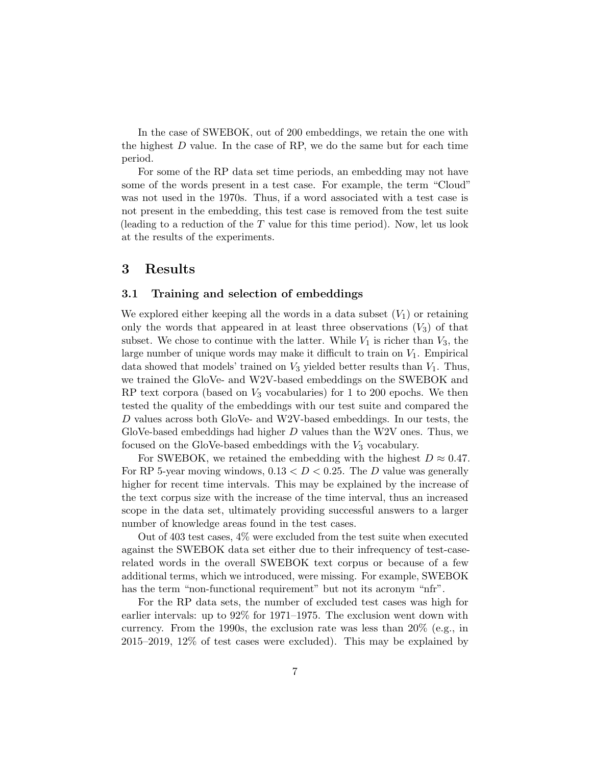In the case of SWEBOK, out of 200 embeddings, we retain the one with the highest  $D$  value. In the case of RP, we do the same but for each time period.

For some of the RP data set time periods, an embedding may not have some of the words present in a test case. For example, the term "Cloud" was not used in the 1970s. Thus, if a word associated with a test case is not present in the embedding, this test case is removed from the test suite (leading to a reduction of the T value for this time period). Now, let us look at the results of the experiments.

## <span id="page-6-0"></span>3 Results

## 3.1 Training and selection of embeddings

We explored either keeping all the words in a data subset  $(V_1)$  or retaining only the words that appeared in at least three observations  $(V_3)$  of that subset. We chose to continue with the latter. While  $V_1$  is richer than  $V_3$ , the large number of unique words may make it difficult to train on  $V_1$ . Empirical data showed that models' trained on  $V_3$  yielded better results than  $V_1$ . Thus, we trained the GloVe- and W2V-based embeddings on the SWEBOK and RP text corpora (based on  $V_3$  vocabularies) for 1 to 200 epochs. We then tested the quality of the embeddings with our test suite and compared the D values across both GloVe- and W2V-based embeddings. In our tests, the GloVe-based embeddings had higher  $D$  values than the W2V ones. Thus, we focused on the GloVe-based embeddings with the  $V_3$  vocabulary.

For SWEBOK, we retained the embedding with the highest  $D \approx 0.47$ . For RP 5-year moving windows,  $0.13 < D < 0.25$ . The D value was generally higher for recent time intervals. This may be explained by the increase of the text corpus size with the increase of the time interval, thus an increased scope in the data set, ultimately providing successful answers to a larger number of knowledge areas found in the test cases.

Out of 403 test cases, 4% were excluded from the test suite when executed against the SWEBOK data set either due to their infrequency of test-caserelated words in the overall SWEBOK text corpus or because of a few additional terms, which we introduced, were missing. For example, SWEBOK has the term "non-functional requirement" but not its acronym "nfr".

For the RP data sets, the number of excluded test cases was high for earlier intervals: up to 92% for 1971–1975. The exclusion went down with currency. From the 1990s, the exclusion rate was less than  $20\%$  (e.g., in 2015–2019, 12% of test cases were excluded). This may be explained by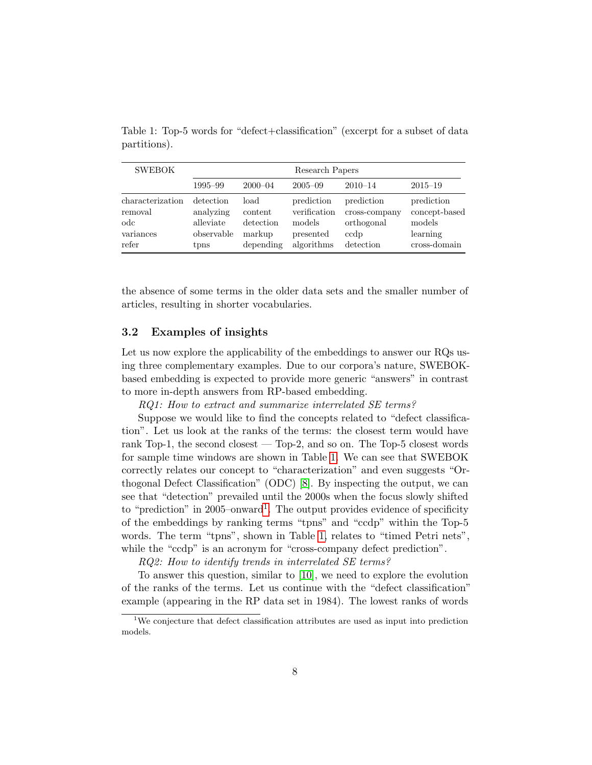| <b>SWEBOK</b>    | Research Papers |             |              |               |               |
|------------------|-----------------|-------------|--------------|---------------|---------------|
|                  | 1995–99         | $2000 - 04$ | $2005 - 09$  | $2010 - 14$   | $2015 - 19$   |
| characterization | detection       | load        | prediction   | prediction    | prediction    |
| removal          | analyzing       | content     | verification | cross-company | concept-based |
| odc              | alleviate       | detection   | models       | orthogonal    | models        |
| variances        | observable      | markup      | presented    | ccdp          | learning      |
| refer            | tpns            | depending   | algorithms   | detection     | cross-domain  |

<span id="page-7-0"></span>Table 1: Top-5 words for "defect+classification" (excerpt for a subset of data partitions).

the absence of some terms in the older data sets and the smaller number of articles, resulting in shorter vocabularies.

## <span id="page-7-2"></span>3.2 Examples of insights

Let us now explore the applicability of the embeddings to answer our RQs using three complementary examples. Due to our corpora's nature, SWEBOKbased embedding is expected to provide more generic "answers" in contrast to more in-depth answers from RP-based embedding.

RQ1: How to extract and summarize interrelated SE terms?

Suppose we would like to find the concepts related to "defect classification". Let us look at the ranks of the terms: the closest term would have rank Top-1, the second closest — Top-2, and so on. The Top-5 closest words for sample time windows are shown in Table [1.](#page-7-0) We can see that SWEBOK correctly relates our concept to "characterization" and even suggests "Orthogonal Defect Classification" (ODC) [\[8\]](#page-11-8). By inspecting the output, we can see that "detection" prevailed until the 2000s when the focus slowly shifted to "prediction" in 2005–onward<sup>[1](#page-7-1)</sup>. The output provides evidence of specificity of the embeddings by ranking terms "tpns" and "ccdp" within the Top-5 words. The term "tpns", shown in Table [1,](#page-7-0) relates to "timed Petri nets", while the "ccdp" is an acronym for "cross-company defect prediction".

RQ2: How to identify trends in interrelated SE terms?

To answer this question, similar to [\[10\]](#page-11-1), we need to explore the evolution of the ranks of the terms. Let us continue with the "defect classification" example (appearing in the RP data set in 1984). The lowest ranks of words

<span id="page-7-1"></span><sup>1</sup>We conjecture that defect classification attributes are used as input into prediction models.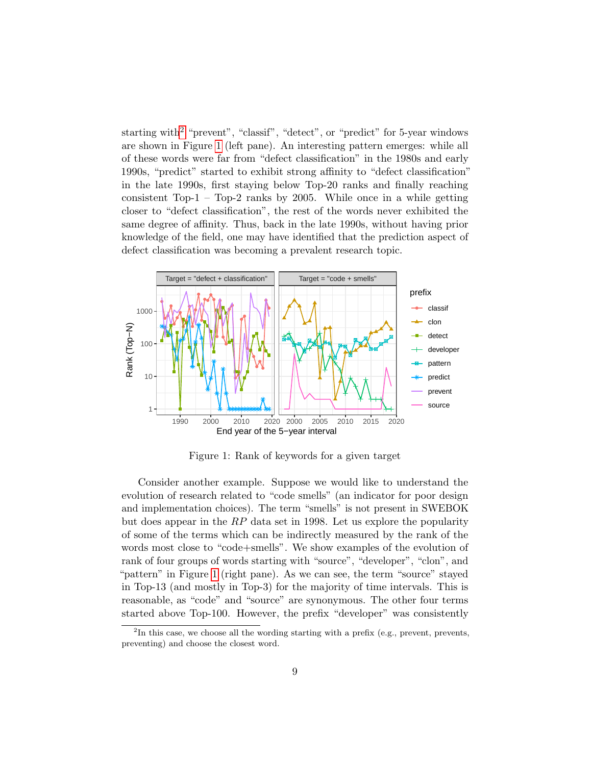starting with<sup>[2](#page-8-0)</sup> "prevent", "classif", "detect", or "predict" for 5-year windows are shown in Figure [1](#page-8-1) (left pane). An interesting pattern emerges: while all of these words were far from "defect classification" in the 1980s and early 1990s, "predict" started to exhibit strong affinity to "defect classification" in the late 1990s, first staying below Top-20 ranks and finally reaching consistent Top-1 – Top-2 ranks by 2005. While once in a while getting closer to "defect classification", the rest of the words never exhibited the same degree of affinity. Thus, back in the late 1990s, without having prior knowledge of the field, one may have identified that the prediction aspect of defect classification was becoming a prevalent research topic.

<span id="page-8-1"></span>

Figure 1: Rank of keywords for a given target

Consider another example. Suppose we would like to understand the evolution of research related to "code smells" (an indicator for poor design and implementation choices). The term "smells" is not present in SWEBOK but does appear in the  $RP$  data set in 1998. Let us explore the popularity of some of the terms which can be indirectly measured by the rank of the words most close to "code+smells". We show examples of the evolution of rank of four groups of words starting with "source", "developer", "clon", and "pattern" in Figure [1](#page-8-1) (right pane). As we can see, the term "source" stayed in Top-13 (and mostly in Top-3) for the majority of time intervals. This is reasonable, as "code" and "source" are synonymous. The other four terms started above Top-100. However, the prefix "developer" was consistently

<span id="page-8-0"></span> ${}^{2}$ In this case, we choose all the wording starting with a prefix (e.g., prevent, prevents, preventing) and choose the closest word.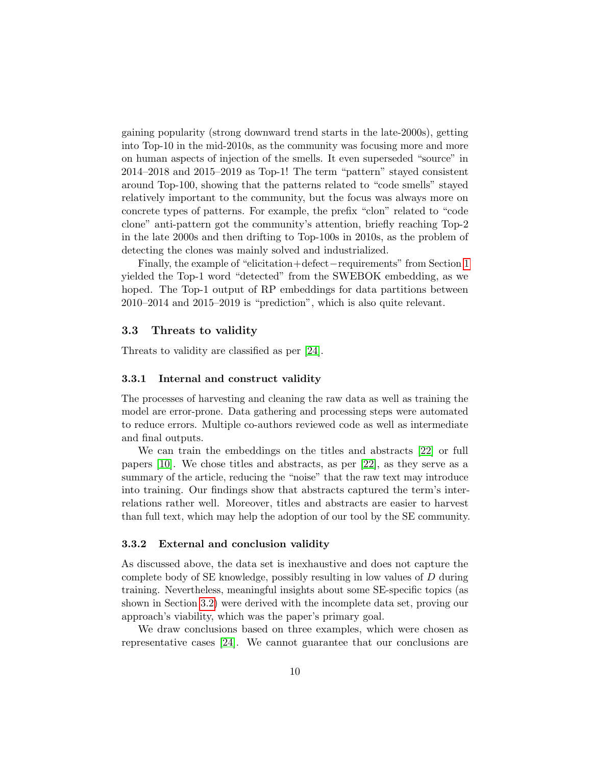gaining popularity (strong downward trend starts in the late-2000s), getting into Top-10 in the mid-2010s, as the community was focusing more and more on human aspects of injection of the smells. It even superseded "source" in 2014–2018 and 2015–2019 as Top-1! The term "pattern" stayed consistent around Top-100, showing that the patterns related to "code smells" stayed relatively important to the community, but the focus was always more on concrete types of patterns. For example, the prefix "clon" related to "code clone" anti-pattern got the community's attention, briefly reaching Top-2 in the late 2000s and then drifting to Top-100s in 2010s, as the problem of detecting the clones was mainly solved and industrialized.

Finally, the example of "elicitation+defect−requirements" from Section [1](#page-0-0) yielded the Top-1 word "detected" from the SWEBOK embedding, as we hoped. The Top-1 output of RP embeddings for data partitions between 2010–2014 and 2015–2019 is "prediction", which is also quite relevant.

## 3.3 Threats to validity

Threats to validity are classified as per [\[24\]](#page-13-1).

## 3.3.1 Internal and construct validity

The processes of harvesting and cleaning the raw data as well as training the model are error-prone. Data gathering and processing steps were automated to reduce errors. Multiple co-authors reviewed code as well as intermediate and final outputs.

We can train the embeddings on the titles and abstracts [\[22\]](#page-13-0) or full papers [\[10\]](#page-11-1). We chose titles and abstracts, as per [\[22\]](#page-13-0), as they serve as a summary of the article, reducing the "noise" that the raw text may introduce into training. Our findings show that abstracts captured the term's interrelations rather well. Moreover, titles and abstracts are easier to harvest than full text, which may help the adoption of our tool by the SE community.

### 3.3.2 External and conclusion validity

As discussed above, the data set is inexhaustive and does not capture the complete body of SE knowledge, possibly resulting in low values of D during training. Nevertheless, meaningful insights about some SE-specific topics (as shown in Section [3.2\)](#page-7-2) were derived with the incomplete data set, proving our approach's viability, which was the paper's primary goal.

We draw conclusions based on three examples, which were chosen as representative cases [\[24\]](#page-13-1). We cannot guarantee that our conclusions are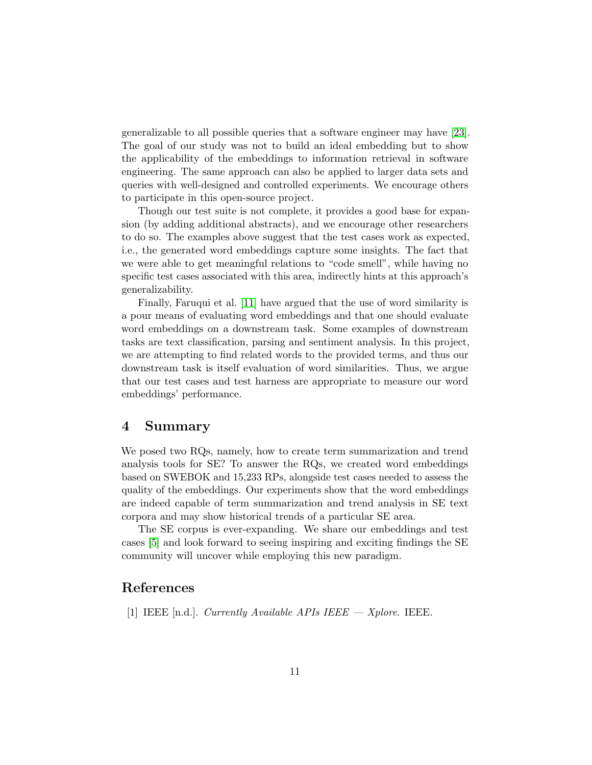generalizable to all possible queries that a software engineer may have [\[23\]](#page-13-2). The goal of our study was not to build an ideal embedding but to show the applicability of the embeddings to information retrieval in software engineering. The same approach can also be applied to larger data sets and queries with well-designed and controlled experiments. We encourage others to participate in this open-source project.

Though our test suite is not complete, it provides a good base for expansion (by adding additional abstracts), and we encourage other researchers to do so. The examples above suggest that the test cases work as expected, i.e., the generated word embeddings capture some insights. The fact that we were able to get meaningful relations to "code smell", while having no specific test cases associated with this area, indirectly hints at this approach's generalizability.

Finally, Faruqui et al. [\[11\]](#page-11-9) have argued that the use of word similarity is a pour means of evaluating word embeddings and that one should evaluate word embeddings on a downstream task. Some examples of downstream tasks are text classification, parsing and sentiment analysis. In this project, we are attempting to find related words to the provided terms, and thus our downstream task is itself evaluation of word similarities. Thus, we argue that our test cases and test harness are appropriate to measure our word embeddings' performance.

## 4 Summary

We posed two RQs, namely, how to create term summarization and trend analysis tools for SE? To answer the RQs, we created word embeddings based on SWEBOK and 15,233 RPs, alongside test cases needed to assess the quality of the embeddings. Our experiments show that the word embeddings are indeed capable of term summarization and trend analysis in SE text corpora and may show historical trends of a particular SE area.

The SE corpus is ever-expanding. We share our embeddings and test cases [\[5\]](#page-11-3) and look forward to seeing inspiring and exciting findings the SE community will uncover while employing this new paradigm.

# References

<span id="page-10-0"></span>[1] IEEE [n.d.]. Currently Available APIs IEEE  $-$  Xplore. IEEE.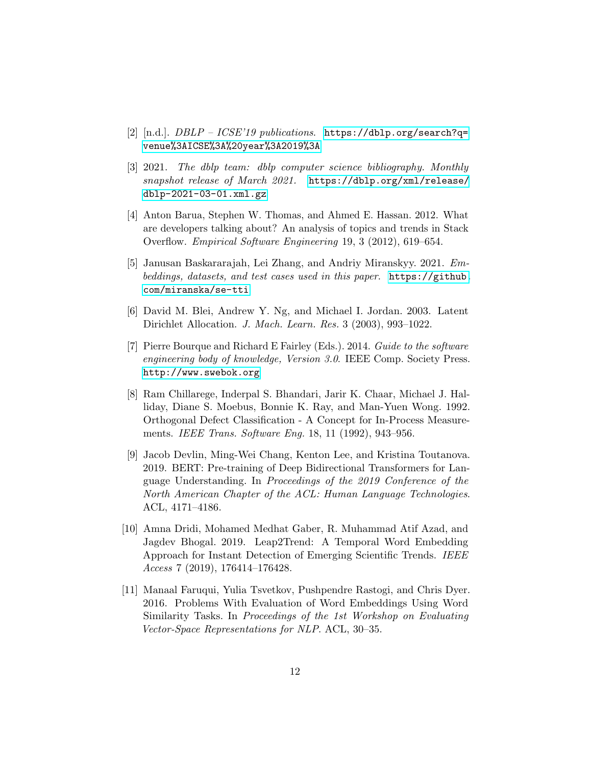- <span id="page-11-0"></span>[2] [n.d.]. DBLP – ICSE'19 publications. [https://dblp.org/search?q=](https://dblp.org/search?q=venue%3AICSE%3A%20year%3A2019%3A) [venue%3AICSE%3A%20year%3A2019%3A](https://dblp.org/search?q=venue%3AICSE%3A%20year%3A2019%3A)
- <span id="page-11-4"></span>[3] 2021. The dblp team: dblp computer science bibliography. Monthly snapshot release of March 2021. [https://dblp.org/xml/release/](https://dblp.org/xml/release/dblp-2021-03-01.xml.gz) [dblp-2021-03-01.xml.gz](https://dblp.org/xml/release/dblp-2021-03-01.xml.gz)
- <span id="page-11-7"></span>[4] Anton Barua, Stephen W. Thomas, and Ahmed E. Hassan. 2012. What are developers talking about? An analysis of topics and trends in Stack Overflow. Empirical Software Engineering 19, 3 (2012), 619–654.
- <span id="page-11-3"></span>[5] Janusan Baskararajah, Lei Zhang, and Andriy Miranskyy. 2021. Embeddings, datasets, and test cases used in this paper. [https://github.](https://github.com/miranska/se-tti) [com/miranska/se-tti](https://github.com/miranska/se-tti)
- <span id="page-11-5"></span>[6] David M. Blei, Andrew Y. Ng, and Michael I. Jordan. 2003. Latent Dirichlet Allocation. J. Mach. Learn. Res. 3 (2003), 993–1022.
- <span id="page-11-2"></span>[7] Pierre Bourque and Richard E Fairley (Eds.). 2014. Guide to the software engineering body of knowledge, Version 3.0. IEEE Comp. Society Press. <http://www.swebok.org>
- <span id="page-11-8"></span>[8] Ram Chillarege, Inderpal S. Bhandari, Jarir K. Chaar, Michael J. Halliday, Diane S. Moebus, Bonnie K. Ray, and Man-Yuen Wong. 1992. Orthogonal Defect Classification - A Concept for In-Process Measurements. IEEE Trans. Software Eng. 18, 11 (1992), 943–956.
- <span id="page-11-6"></span>[9] Jacob Devlin, Ming-Wei Chang, Kenton Lee, and Kristina Toutanova. 2019. BERT: Pre-training of Deep Bidirectional Transformers for Language Understanding. In Proceedings of the 2019 Conference of the North American Chapter of the ACL: Human Language Technologies. ACL, 4171–4186.
- <span id="page-11-1"></span>[10] Amna Dridi, Mohamed Medhat Gaber, R. Muhammad Atif Azad, and Jagdev Bhogal. 2019. Leap2Trend: A Temporal Word Embedding Approach for Instant Detection of Emerging Scientific Trends. IEEE Access 7 (2019), 176414–176428.
- <span id="page-11-9"></span>[11] Manaal Faruqui, Yulia Tsvetkov, Pushpendre Rastogi, and Chris Dyer. 2016. Problems With Evaluation of Word Embeddings Using Word Similarity Tasks. In Proceedings of the 1st Workshop on Evaluating Vector-Space Representations for NLP. ACL, 30–35.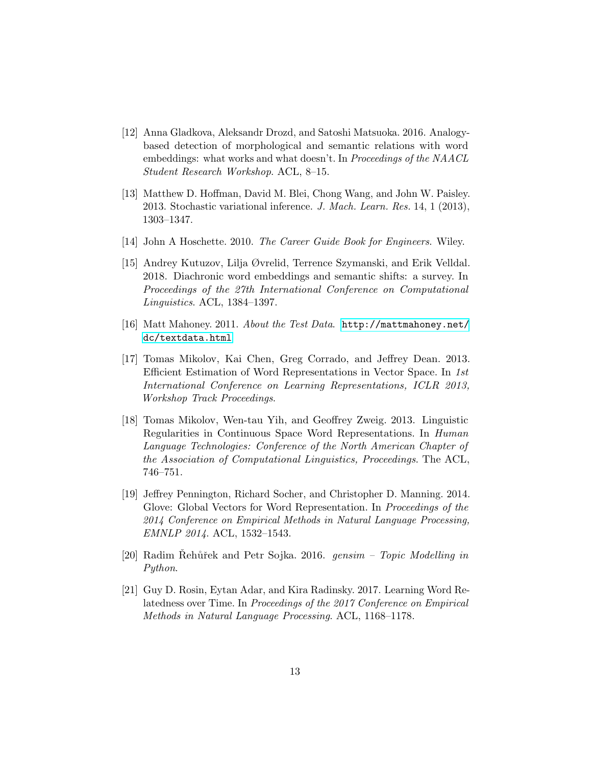- <span id="page-12-9"></span>[12] Anna Gladkova, Aleksandr Drozd, and Satoshi Matsuoka. 2016. Analogybased detection of morphological and semantic relations with word embeddings: what works and what doesn't. In Proceedings of the NAACL Student Research Workshop. ACL, 8–15.
- <span id="page-12-7"></span>[13] Matthew D. Hoffman, David M. Blei, Chong Wang, and John W. Paisley. 2013. Stochastic variational inference. J. Mach. Learn. Res. 14, 1 (2013), 1303–1347.
- <span id="page-12-0"></span>[14] John A Hoschette. 2010. The Career Guide Book for Engineers. Wiley.
- <span id="page-12-1"></span>[15] Andrey Kutuzov, Lilja Øvrelid, Terrence Szymanski, and Erik Velldal. 2018. Diachronic word embeddings and semantic shifts: a survey. In Proceedings of the 27th International Conference on Computational Linguistics. ACL, 1384–1397.
- <span id="page-12-8"></span>[16] Matt Mahoney. 2011. About the Test Data. [http://mattmahoney.net/](http://mattmahoney.net/dc/textdata.html) [dc/textdata.html](http://mattmahoney.net/dc/textdata.html)
- <span id="page-12-5"></span>[17] Tomas Mikolov, Kai Chen, Greg Corrado, and Jeffrey Dean. 2013. Efficient Estimation of Word Representations in Vector Space. In 1st International Conference on Learning Representations, ICLR 2013, Workshop Track Proceedings.
- <span id="page-12-3"></span>[18] Tomas Mikolov, Wen-tau Yih, and Geoffrey Zweig. 2013. Linguistic Regularities in Continuous Space Word Representations. In Human Language Technologies: Conference of the North American Chapter of the Association of Computational Linguistics, Proceedings. The ACL, 746–751.
- <span id="page-12-4"></span>[19] Jeffrey Pennington, Richard Socher, and Christopher D. Manning. 2014. Glove: Global Vectors for Word Representation. In Proceedings of the 2014 Conference on Empirical Methods in Natural Language Processing, EMNLP 2014. ACL, 1532–1543.
- <span id="page-12-6"></span>[20] Radim Rehůřek and Petr Sojka. 2016. gensim – Topic Modelling in Python.
- <span id="page-12-2"></span>[21] Guy D. Rosin, Eytan Adar, and Kira Radinsky. 2017. Learning Word Relatedness over Time. In Proceedings of the 2017 Conference on Empirical Methods in Natural Language Processing. ACL, 1168–1178.